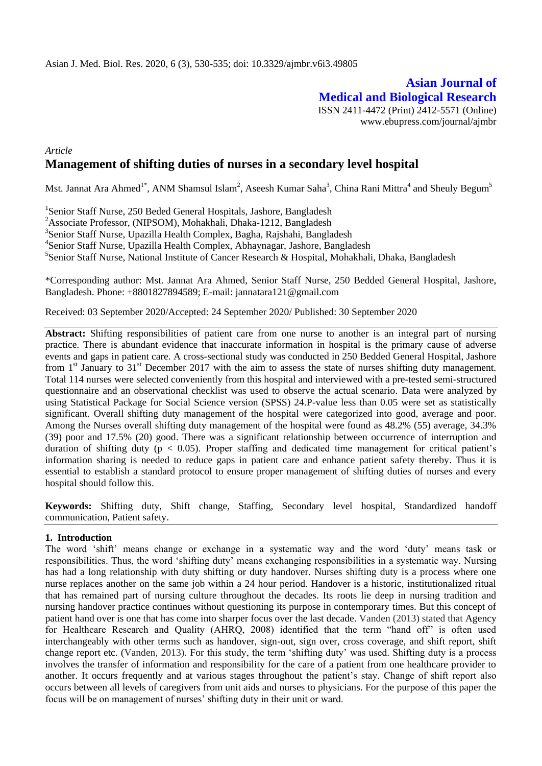# **Asian Journal of Medical and Biological Research**

ISSN 2411-4472 (Print) 2412-5571 (Online) www.ebupress.com/journal/ajmbr

# *Article* **Management of shifting duties of nurses in a secondary level hospital**

Mst. Jannat Ara Ahmed $^{1*}$ , ANM Shamsul Islam $^2$ , Aseesh Kumar Saha $^3$ , China Rani Mittra $^4$  and Sheuly Begum $^5$ 

<sup>1</sup>Senior Staff Nurse, 250 Beded General Hospitals, Jashore, Bangladesh

<sup>2</sup>Associate Professor, (NIPSOM), Mohakhali, Dhaka-1212, Bangladesh

<sup>3</sup>Senior Staff Nurse, Upazilla Health Complex, Bagha, Rajshahi, Bangladesh

4 Senior Staff Nurse, Upazilla Health Complex, Abhaynagar, Jashore, Bangladesh

<sup>5</sup>Senior Staff Nurse, National Institute of Cancer Research & Hospital, Mohakhali, Dhaka, Bangladesh

\*Corresponding author: Mst. Jannat Ara Ahmed, Senior Staff Nurse, 250 Bedded General Hospital, Jashore, Bangladesh. Phone: +8801827894589; E-mail: jannatara121@gmail.com

Received: 03 September 2020/Accepted: 24 September 2020/ Published: 30 September 2020

**Abstract:** Shifting responsibilities of patient care from one nurse to another is an integral part of nursing practice. There is abundant evidence that inaccurate information in hospital is the primary cause of adverse events and gaps in patient care. A cross-sectional study was conducted in 250 Bedded General Hospital, Jashore from 1<sup>st</sup> January to 31<sup>st</sup> December 2017 with the aim to assess the state of nurses shifting duty management. Total 114 nurses were selected conveniently from this hospital and interviewed with a pre-tested semi-structured questionnaire and an observational checklist was used to observe the actual scenario. Data were analyzed by using Statistical Package for Social Science version (SPSS) 24.P-value less than 0.05 were set as statistically significant. Overall shifting duty management of the hospital were categorized into good, average and poor. Among the Nurses overall shifting duty management of the hospital were found as 48.2% (55) average, 34.3% (39) poor and 17.5% (20) good. There was a significant relationship between occurrence of interruption and duration of shifting duty ( $p < 0.05$ ). Proper staffing and dedicated time management for critical patient's information sharing is needed to reduce gaps in patient care and enhance patient safety thereby. Thus it is essential to establish a standard protocol to ensure proper management of shifting duties of nurses and every hospital should follow this.

**Keywords:** Shifting duty, Shift change, Staffing, Secondary level hospital, Standardized handoff communication, Patient safety.

#### **1. Introduction**

The word "shift" means change or exchange in a systematic way and the word "duty" means task or responsibilities. Thus, the word "shifting duty" means exchanging responsibilities in a systematic way. Nursing has had a long relationship with duty shifting or duty handover. Nurses shifting duty is a process where one nurse replaces another on the same job within a 24 hour period. Handover is a historic, institutionalized ritual that has remained part of nursing culture throughout the decades. Its roots lie deep in nursing tradition and nursing handover practice continues without questioning its purpose in contemporary times. But this concept of patient hand over is one that has come into sharper focus over the last decade. Vanden (2013) stated that Agency for Healthcare Research and Quality (AHRQ, 2008) identified that the term "hand off" is often used interchangeably with other terms such as handover, sign-out, sign over, cross coverage, and shift report, shift change report etc. (Vanden, 2013). For this study, the term "shifting duty" was used. Shifting duty is a process involves the transfer of information and responsibility for the care of a patient from one healthcare provider to another. It occurs frequently and at various stages throughout the patient's stay. Change of shift report also occurs between all levels of caregivers from unit aids and nurses to physicians. For the purpose of this paper the focus will be on management of nurses' shifting duty in their unit or ward.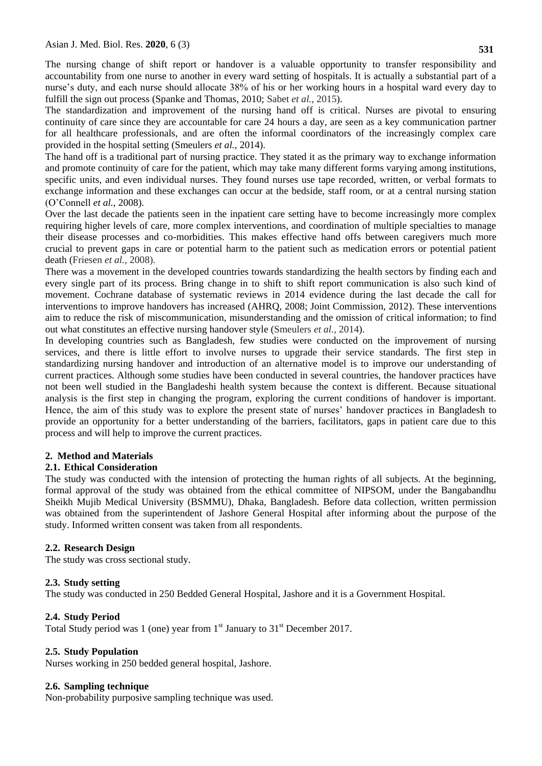The nursing change of shift report or handover is a valuable opportunity to transfer responsibility and accountability from one nurse to another in every ward setting of hospitals. It is actually a substantial part of a nurse"s duty, and each nurse should allocate 38% of his or her working hours in a hospital ward every day to fulfill the sign out process (Spanke and Thomas, 2010; Sabet *et al.*, 2015).

The standardization and improvement of the nursing hand off is critical. Nurses are pivotal to ensuring continuity of care since they are accountable for care 24 hours a day, are seen as a key communication partner for all healthcare professionals, and are often the informal coordinators of the increasingly complex care provided in the hospital setting (Smeulers *et al.,* 2014).

The hand off is a traditional part of nursing practice. They stated it as the primary way to exchange information and promote continuity of care for the patient, which may take many different forms varying among institutions, specific units, and even individual nurses. They found nurses use tape recorded, written, or verbal formats to exchange information and these exchanges can occur at the bedside, staff room, or at a central nursing station (O"Connell *et al.,* 2008).

Over the last decade the patients seen in the inpatient care setting have to become increasingly more complex requiring higher levels of care, more complex interventions, and coordination of multiple specialties to manage their disease processes and co-morbidities. This makes effective hand offs between caregivers much more crucial to prevent gaps in care or potential harm to the patient such as medication errors or potential patient death (Friesen *et al.,* 2008).

There was a movement in the developed countries towards standardizing the health sectors by finding each and every single part of its process. Bring change in to shift to shift report communication is also such kind of movement. Cochrane database of systematic reviews in 2014 evidence during the last decade the call for interventions to improve handovers has increased (AHRQ, 2008; Joint Commission, 2012). These interventions aim to reduce the risk of miscommunication, misunderstanding and the omission of critical information; to find out what constitutes an effective nursing handover style (Smeulers *et al.,* 2014).

In developing countries such as Bangladesh, few studies were conducted on the improvement of nursing services, and there is little effort to involve nurses to upgrade their service standards. The first step in standardizing nursing handover and introduction of an alternative model is to improve our understanding of current practices. Although some studies have been conducted in several countries, the handover practices have not been well studied in the Bangladeshi health system because the context is different. Because situational analysis is the first step in changing the program, exploring the current conditions of handover is important. Hence, the aim of this study was to explore the present state of nurses" handover practices in Bangladesh to provide an opportunity for a better understanding of the barriers, facilitators, gaps in patient care due to this process and will help to improve the current practices.

# **2. Method and Materials**

# **2.1. Ethical Consideration**

The study was conducted with the intension of protecting the human rights of all subjects. At the beginning, formal approval of the study was obtained from the ethical committee of NIPSOM, under the Bangabandhu Sheikh Mujib Medical University (BSMMU), Dhaka, Bangladesh. Before data collection, written permission was obtained from the superintendent of Jashore General Hospital after informing about the purpose of the study. Informed written consent was taken from all respondents.

# **2.2. Research Design**

The study was cross sectional study.

# **2.3. Study setting**

The study was conducted in 250 Bedded General Hospital, Jashore and it is a Government Hospital.

# **2.4. Study Period**

Total Study period was 1 (one) year from  $1<sup>st</sup>$  January to  $31<sup>st</sup>$  December 2017.

## **2.5. Study Population**

Nurses working in 250 bedded general hospital, Jashore.

# **2.6. Sampling technique**

Non-probability purposive sampling technique was used.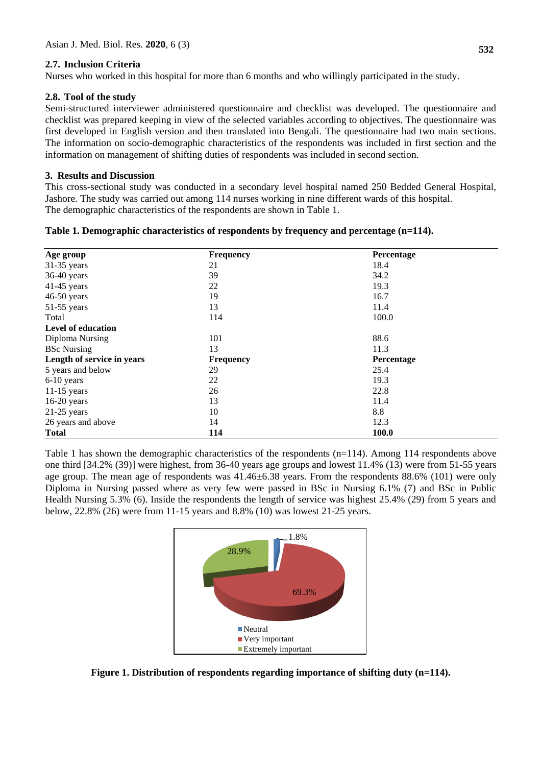#### **2.7. Inclusion Criteria**

Nurses who worked in this hospital for more than 6 months and who willingly participated in the study.

#### **2.8. Tool of the study**

Semi-structured interviewer administered questionnaire and checklist was developed. The questionnaire and checklist was prepared keeping in view of the selected variables according to objectives. The questionnaire was first developed in English version and then translated into Bengali. The questionnaire had two main sections. The information on socio-demographic characteristics of the respondents was included in first section and the information on management of shifting duties of respondents was included in second section.

### **3. Results and Discussion**

This cross-sectional study was conducted in a secondary level hospital named 250 Bedded General Hospital, Jashore. The study was carried out among 114 nurses working in nine different wards of this hospital. The demographic characteristics of the respondents are shown in Table 1.

| Age group                  | <b>Frequency</b> | Percentage |  |
|----------------------------|------------------|------------|--|
| 31-35 years                | 21               | 18.4       |  |
| $36-40$ years              | 39               | 34.2       |  |
| $41-45$ years              | 22               | 19.3       |  |
| $46-50$ years              | 19               | 16.7       |  |
| $51-55$ years              | 13               | 11.4       |  |
| Total                      | 114              | 100.0      |  |
| Level of education         |                  |            |  |
| Diploma Nursing            | 101              | 88.6       |  |
| <b>BSc Nursing</b>         | 13               | 11.3       |  |
| Length of service in years | <b>Frequency</b> | Percentage |  |
| 5 years and below          | 29               | 25.4       |  |
| $6-10$ years               | 22               | 19.3       |  |
| $11-15$ years              | 26               | 22.8       |  |
| $16-20$ years              | 13               | 11.4       |  |
| $21-25$ years              | 10               | 8.8        |  |
| 26 years and above         | 14               | 12.3       |  |
| <b>Total</b>               | 114              | 100.0      |  |

**Table 1. Demographic characteristics of respondents by frequency and percentage (n=114).**

Table 1 has shown the demographic characteristics of the respondents (n=114). Among 114 respondents above one third [34.2% (39)] were highest, from 36-40 years age groups and lowest 11.4% (13) were from 51-55 years age group. The mean age of respondents was 41.46±6.38 years. From the respondents 88.6% (101) were only Diploma in Nursing passed where as very few were passed in BSc in Nursing 6.1% (7) and BSc in Public Health Nursing 5.3% (6). Inside the respondents the length of service was highest 25.4% (29) from 5 years and below, 22.8% (26) were from 11-15 years and 8.8% (10) was lowest 21-25 years.



**Figure 1. Distribution of respondents regarding importance of shifting duty (n=114).**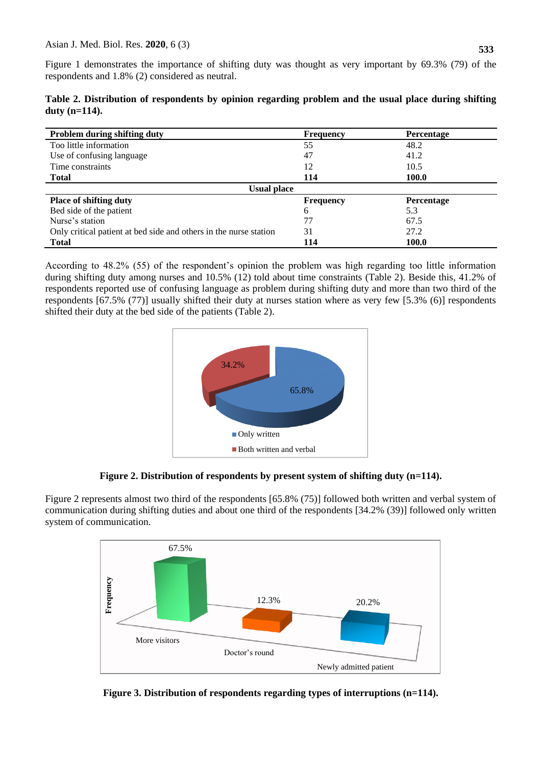Figure 1 demonstrates the importance of shifting duty was thought as very important by 69.3% (79) of the respondents and 1.8% (2) considered as neutral.

| Table 2. Distribution of respondents by opinion regarding problem and the usual place during shifting |  |  |  |  |  |
|-------------------------------------------------------------------------------------------------------|--|--|--|--|--|
| duty $(n=114)$ .                                                                                      |  |  |  |  |  |

| Problem during shifting duty                                      | <b>Frequency</b> | Percentage        |  |  |  |
|-------------------------------------------------------------------|------------------|-------------------|--|--|--|
| Too little information                                            | 55               | 48.2              |  |  |  |
| Use of confusing language                                         | 47               | 41.2              |  |  |  |
| Time constraints                                                  | 12               | 10.5              |  |  |  |
| <b>Total</b>                                                      | 114              | 100.0             |  |  |  |
| <b>Usual place</b>                                                |                  |                   |  |  |  |
| <b>Place of shifting duty</b>                                     | <b>Frequency</b> | <b>Percentage</b> |  |  |  |
| Bed side of the patient                                           | 6                | 5.3               |  |  |  |
| Nurse's station                                                   | 77               | 67.5              |  |  |  |
| Only critical patient at bed side and others in the nurse station | 31               | 27.2              |  |  |  |
| <b>Total</b>                                                      | 114              | 100.0             |  |  |  |

According to 48.2% (55) of the respondent"s opinion the problem was high regarding too little information during shifting duty among nurses and 10.5% (12) told about time constraints (Table 2). Beside this, 41.2% of respondents reported use of confusing language as problem during shifting duty and more than two third of the respondents [67.5% (77)] usually shifted their duty at nurses station where as very few [5.3% (6)] respondents shifted their duty at the bed side of the patients (Table 2).



# **Figure 2. Distribution of respondents by present system of shifting duty (n=114).**

Figure 2 represents almost two third of the respondents [65.8% (75)] followed both written and verbal system of communication during shifting duties and about one third of the respondents [34.2% (39)] followed only written system of communication.



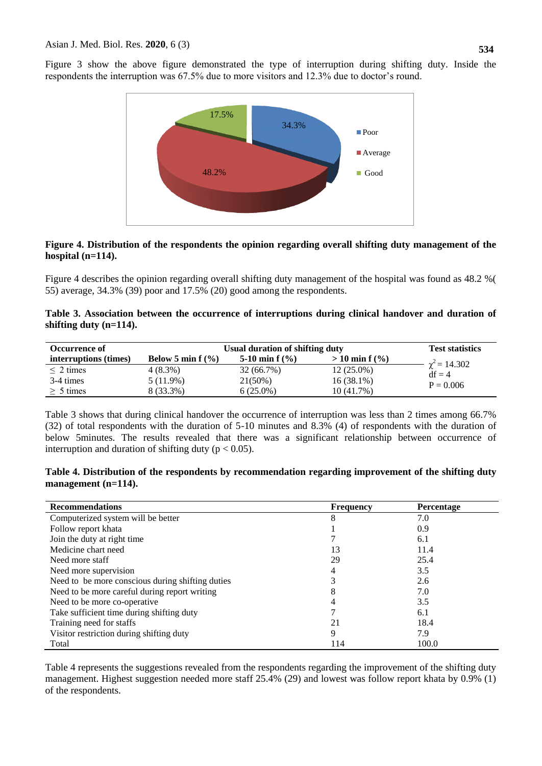

## **Figure 4. Distribution of the respondents the opinion regarding overall shifting duty management of the hospital (n=114).**

Figure 4 describes the opinion regarding overall shifting duty management of the hospital was found as 48.2 %( 55) average, 34.3% (39) poor and 17.5% (20) good among the respondents.

| Table 3. Association between the occurrence of interruptions during clinical handover and duration of |  |  |  |  |  |
|-------------------------------------------------------------------------------------------------------|--|--|--|--|--|
| shifting duty $(n=114)$ .                                                                             |  |  |  |  |  |

| Occurrence of         | Usual duration of shifting duty |                  |                           | <b>Test statistics</b> |
|-----------------------|---------------------------------|------------------|---------------------------|------------------------|
| interruptions (times) | Below 5 min $f(\%)$             | 5-10 min $f(\%)$ | $> 10 \text{ min } f (%)$ | $-\gamma^2 = 14.302$   |
| $\leq$ 2 times        | $4(8.3\%)$                      | 32(66.7%)        | $12(25.0\%)$              | $df = 4$               |
| 3-4 times             | $5(11.9\%)$                     | $21(50\%)$       | $16(38.1\%)$              | $P = 0.006$            |
| $> 5 \times$          | 8 (33.3%)                       | $6(25.0\%)$      | $10(41.7\%)$              |                        |

Table 3 shows that during clinical handover the occurrence of interruption was less than 2 times among 66.7% (32) of total respondents with the duration of 5-10 minutes and 8.3% (4) of respondents with the duration of below 5minutes. The results revealed that there was a significant relationship between occurrence of interruption and duration of shifting duty ( $p < 0.05$ ).

**Table 4. Distribution of the respondents by recommendation regarding improvement of the shifting duty management (n=114).**

| <b>Recommendations</b>                           | <b>Frequency</b> | Percentage |
|--------------------------------------------------|------------------|------------|
| Computerized system will be better               | 8                | 7.0        |
| Follow report khata                              |                  | 0.9        |
| Join the duty at right time                      |                  | 6.1        |
| Medicine chart need                              | 13               | 11.4       |
| Need more staff                                  | 29               | 25.4       |
| Need more supervision                            | 4                | 3.5        |
| Need to be more conscious during shifting duties |                  | 2.6        |
| Need to be more careful during report writing    |                  | 7.0        |
| Need to be more co-operative                     |                  | 3.5        |
| Take sufficient time during shifting duty        |                  | 6.1        |
| Training need for staffs                         | 21               | 18.4       |
| Visitor restriction during shifting duty         | 9                | 7.9        |
| Total                                            | 114              | 100.0      |

Table 4 represents the suggestions revealed from the respondents regarding the improvement of the shifting duty management. Highest suggestion needed more staff 25.4% (29) and lowest was follow report khata by 0.9% (1) of the respondents.